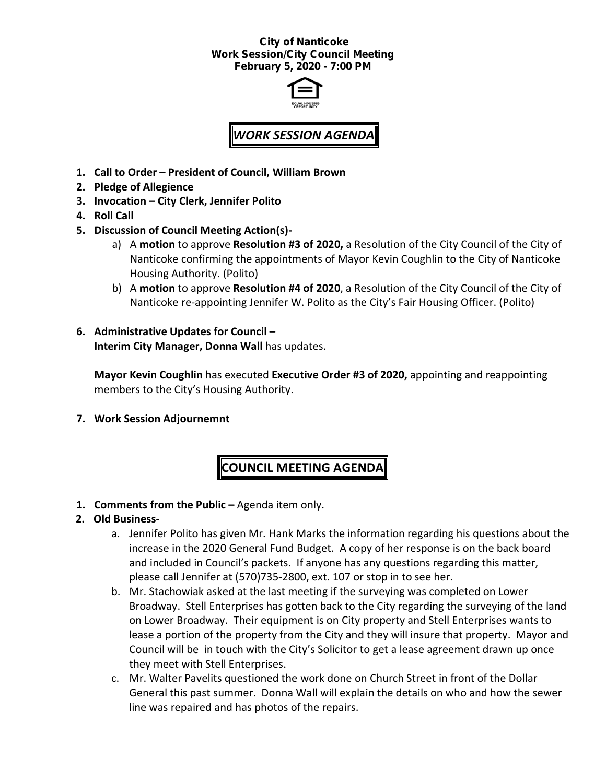### *City of Nanticoke Work Session/City Council Meeting February 5, 2020 - 7:00 PM*



# *WORK SESSION AGENDA*

- **1. Call to Order – President of Council, William Brown**
- **2. Pledge of Allegience**
- **3. Invocation – City Clerk, Jennifer Polito**
- **4. Roll Call**
- **5. Discussion of Council Meeting Action(s)**
	- a) A **motion** to approve **Resolution #3 of 2020,** a Resolution of the City Council of the City of Nanticoke confirming the appointments of Mayor Kevin Coughlin to the City of Nanticoke Housing Authority. (Polito)
	- b) A **motion** to approve **Resolution #4 of 2020**, a Resolution of the City Council of the City of Nanticoke re-appointing Jennifer W. Polito as the City's Fair Housing Officer. (Polito)
- **6. Administrative Updates for Council – Interim City Manager, Donna Wall** has updates.

**Mayor Kevin Coughlin** has executed **Executive Order #3 of 2020,** appointing and reappointing members to the City's Housing Authority.

**7. Work Session Adjournemnt**

## **COUNCIL MEETING AGENDA**

**1. Comments from the Public –** Agenda item only.

## **2. Old Business-**

- a. Jennifer Polito has given Mr. Hank Marks the information regarding his questions about the increase in the 2020 General Fund Budget. A copy of her response is on the back board and included in Council's packets. If anyone has any questions regarding this matter, please call Jennifer at (570)735-2800, ext. 107 or stop in to see her.
- b. Mr. Stachowiak asked at the last meeting if the surveying was completed on Lower Broadway. Stell Enterprises has gotten back to the City regarding the surveying of the land on Lower Broadway. Their equipment is on City property and Stell Enterprises wants to lease a portion of the property from the City and they will insure that property. Mayor and Council will be in touch with the City's Solicitor to get a lease agreement drawn up once they meet with Stell Enterprises.
- c. Mr. Walter Pavelits questioned the work done on Church Street in front of the Dollar General this past summer. Donna Wall will explain the details on who and how the sewer line was repaired and has photos of the repairs.